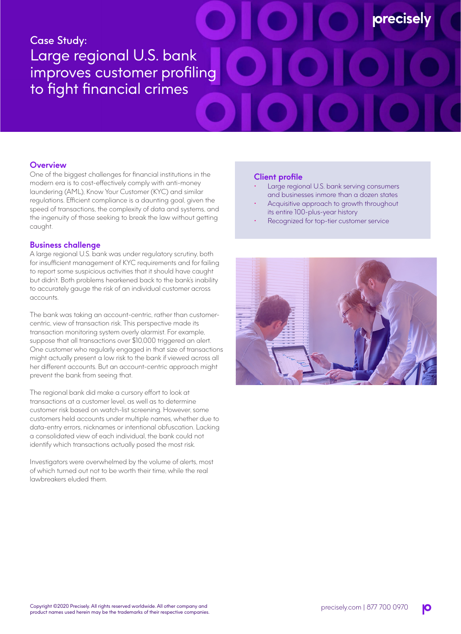# Case Study: Large regional U.S. bank improves customer profiling to fight financial crimes

## **Overview**

One of the biggest challenges for financial institutions in the modern era is to cost-effectively comply with anti-money laundering (AML), Know Your Customer (KYC) and similar regulations. Efficient compliance is a daunting goal, given the speed of transactions, the complexity of data and systems, and the ingenuity of those seeking to break the law without getting caught.

## **Business challenge**

A large regional U.S. bank was under regulatory scrutiny, both for insufficient management of KYC requirements and for failing to report some suspicious activities that it should have caught but didn't. Both problems hearkened back to the bank's inability to accurately gauge the risk of an individual customer across accounts.

The bank was taking an account-centric, rather than customercentric, view of transaction risk. This perspective made its transaction monitoring system overly alarmist. For example, suppose that all transactions over \$10,000 triggered an alert. One customer who regularly engaged in that size of transactions might actually present a low risk to the bank if viewed across all her different accounts. But an account-centric approach might prevent the bank from seeing that.

The regional bank did make a cursory effort to look at transactions at a customer level, as well as to determine customer risk based on watch-list screening. However, some customers held accounts under multiple names, whether due to data-entry errors, nicknames or intentional obfuscation. Lacking a consolidated view of each individual, the bank could not identify which transactions actually posed the most risk.

Investigators were overwhelmed by the volume of alerts, most of which turned out not to be worth their time, while the real lawbreakers eluded them.

#### **Client profile**

Large regional U.S. bank serving consumers and businesses inmore than a dozen states

**precisely** 

- Acquisitive approach to growth throughout its entire 100-plus-year history
- Recognized for top-tier customer service